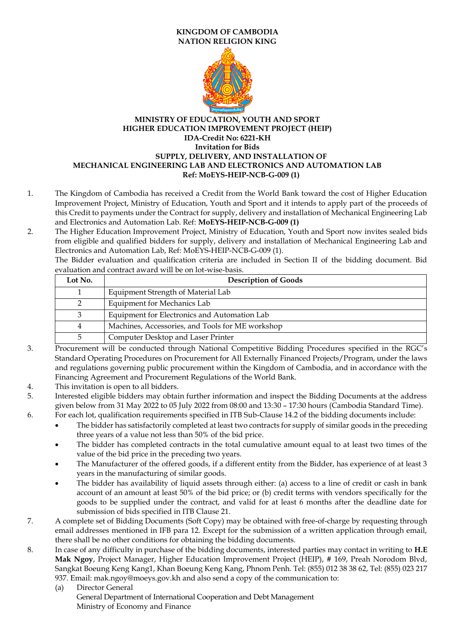## **KINGDOM OF CAMBODIA NATION RELIGION KING**



## **MINISTRY OF EDUCATION, YOUTH AND SPORT HIGHER EDUCATION IMPROVEMENT PROJECT (HEIP) IDA-Credit No: 6221-KH Invitation for Bids SUPPLY, DELIVERY, AND INSTALLATION OF MECHANICAL ENGINEERING LAB AND ELECTRONICS AND AUTOMATION LAB Ref: MoEYS-HEIP-NCB-G-009 (1)**

- 1. The Kingdom of Cambodia has received a Credit from the World Bank toward the cost of Higher Education Improvement Project, Ministry of Education, Youth and Sport and it intends to apply part of the proceeds of this Credit to payments under the Contract for supply, delivery and installation of Mechanical Engineering Lab and Electronics and Automation Lab. Ref: **MoEYS-HEIP-NCB-G-009 (1)**
- 2. The Higher Education Improvement Project, Ministry of Education, Youth and Sport now invites sealed bids from eligible and qualified bidders for supply, delivery and installation of Mechanical Engineering Lab and Electronics and Automation Lab, Ref: MoEYS-HEIP-NCB-G-009 (1).

The Bidder evaluation and qualification criteria are included in Section II of the bidding document. Bid evaluation and contract award will be on lot-wise-basis.

| Lot No. | <b>Description of Goods</b>                      |
|---------|--------------------------------------------------|
|         | Equipment Strength of Material Lab               |
|         | Equipment for Mechanics Lab                      |
|         | Equipment for Electronics and Automation Lab     |
|         | Machines, Accessories, and Tools for ME workshop |
|         | Computer Desktop and Laser Printer               |

- 3. Procurement will be conducted through National Competitive Bidding Procedures specified in the RGC's Standard Operating Procedures on Procurement for All Externally Financed Projects/Program, under the laws and regulations governing public procurement within the Kingdom of Cambodia, and in accordance with the Financing Agreement and Procurement Regulations of the World Bank.
- 4. This invitation is open to all bidders.
- 5. Interested eligible bidders may obtain further information and inspect the Bidding Documents at the address given below from 31 May 2022 to 05 July 2022 from 08:00 and 13:30 – 17:30 hours (Cambodia Standard Time). 6. For each lot, qualification requirements specified in ITB Sub-Clause 14.2 of the bidding documents include:
	- The bidder has satisfactorily completed at least two contracts for supply of similar goods in the preceding three years of a value not less than 50% of the bid price.
	- The bidder has completed contracts in the total cumulative amount equal to at least two times of the value of the bid price in the preceding two years.
	- The Manufacturer of the offered goods, if a different entity from the Bidder, has experience of at least 3 years in the manufacturing of similar goods.
	- The bidder has availability of liquid assets through either: (a) access to a line of credit or cash in bank account of an amount at least 50% of the bid price; or (b) credit terms with vendors specifically for the goods to be supplied under the contract, and valid for at least 6 months after the deadline date for submission of bids specified in ITB Clause 21.
- 7. A complete set of Bidding Documents (Soft Copy) may be obtained with free-of-charge by requesting through email addresses mentioned in IFB para 12. Except for the submission of a written application through email, there shall be no other conditions for obtaining the bidding documents.
- 8. In case of any difficulty in purchase of the bidding documents, interested parties may contact in writing to **H.E Mak Ngoy**, Project Manager, Higher Education Improvement Project (HEIP), # 169, Preah Norodom Blvd, Sangkat Boeung Keng Kang1, Khan Boeung Keng Kang, Phnom Penh. Tel: (855) 012 38 38 62, Tel: (855) 023 217 937. Email: [mak.ngoy@moeys.gov.kh](mailto:mak.ngoy@moeys.gov.kh) and also send a copy of the communication to:
	- (a) Director General General Department of International Cooperation and Debt Management Ministry of Economy and Finance